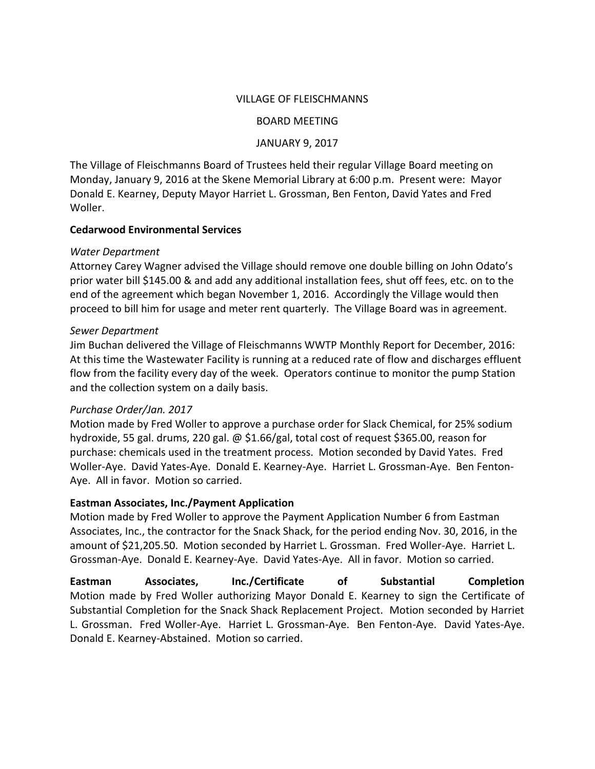### VILLAGE OF FLEISCHMANNS

#### BOARD MEETING

### JANUARY 9, 2017

The Village of Fleischmanns Board of Trustees held their regular Village Board meeting on Monday, January 9, 2016 at the Skene Memorial Library at 6:00 p.m. Present were: Mayor Donald E. Kearney, Deputy Mayor Harriet L. Grossman, Ben Fenton, David Yates and Fred Woller.

### **Cedarwood Environmental Services**

### *Water Department*

Attorney Carey Wagner advised the Village should remove one double billing on John Odato's prior water bill \$145.00 & and add any additional installation fees, shut off fees, etc. on to the end of the agreement which began November 1, 2016. Accordingly the Village would then proceed to bill him for usage and meter rent quarterly. The Village Board was in agreement.

### *Sewer Department*

Jim Buchan delivered the Village of Fleischmanns WWTP Monthly Report for December, 2016: At this time the Wastewater Facility is running at a reduced rate of flow and discharges effluent flow from the facility every day of the week. Operators continue to monitor the pump Station and the collection system on a daily basis.

## *Purchase Order/Jan. 2017*

Motion made by Fred Woller to approve a purchase order for Slack Chemical, for 25% sodium hydroxide, 55 gal. drums, 220 gal. @ \$1.66/gal, total cost of request \$365.00, reason for purchase: chemicals used in the treatment process. Motion seconded by David Yates. Fred Woller-Aye. David Yates-Aye. Donald E. Kearney-Aye. Harriet L. Grossman-Aye. Ben Fenton-Aye. All in favor. Motion so carried.

## **Eastman Associates, Inc./Payment Application**

Motion made by Fred Woller to approve the Payment Application Number 6 from Eastman Associates, Inc., the contractor for the Snack Shack, for the period ending Nov. 30, 2016, in the amount of \$21,205.50. Motion seconded by Harriet L. Grossman. Fred Woller-Aye. Harriet L. Grossman-Aye. Donald E. Kearney-Aye. David Yates-Aye. All in favor. Motion so carried.

**Eastman Associates, Inc./Certificate of Substantial Completion** Motion made by Fred Woller authorizing Mayor Donald E. Kearney to sign the Certificate of Substantial Completion for the Snack Shack Replacement Project. Motion seconded by Harriet L. Grossman. Fred Woller-Aye. Harriet L. Grossman-Aye. Ben Fenton-Aye. David Yates-Aye. Donald E. Kearney-Abstained. Motion so carried.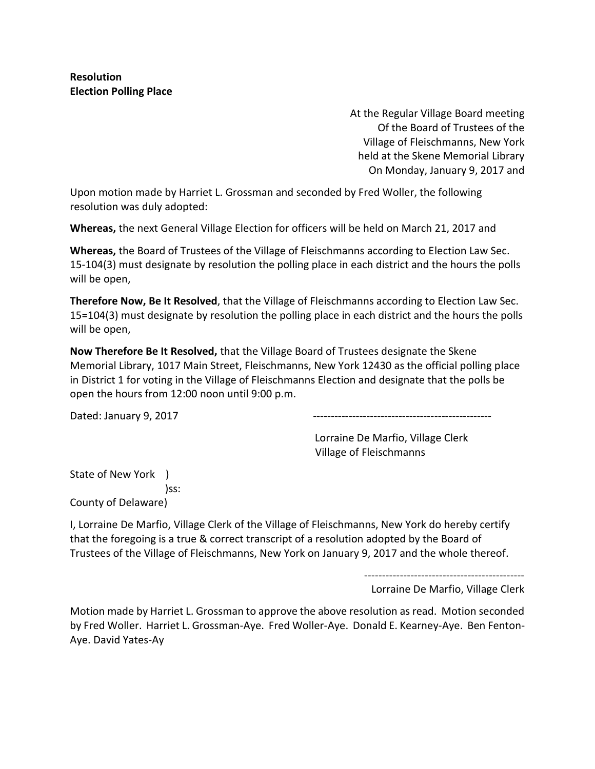**Resolution Election Polling Place**

> At the Regular Village Board meeting Of the Board of Trustees of the Village of Fleischmanns, New York held at the Skene Memorial Library On Monday, January 9, 2017 and

Upon motion made by Harriet L. Grossman and seconded by Fred Woller, the following resolution was duly adopted:

**Whereas,** the next General Village Election for officers will be held on March 21, 2017 and

**Whereas,** the Board of Trustees of the Village of Fleischmanns according to Election Law Sec. 15-104(3) must designate by resolution the polling place in each district and the hours the polls will be open,

**Therefore Now, Be It Resolved**, that the Village of Fleischmanns according to Election Law Sec. 15=104(3) must designate by resolution the polling place in each district and the hours the polls will be open,

**Now Therefore Be It Resolved,** that the Village Board of Trustees designate the Skene Memorial Library, 1017 Main Street, Fleischmanns, New York 12430 as the official polling place in District 1 for voting in the Village of Fleischmanns Election and designate that the polls be open the hours from 12:00 noon until 9:00 p.m.

Dated: January 9, 2017 --------------------------------------------------

Lorraine De Marfio, Village Clerk Village of Fleischmanns

State of New York ) )ss: County of Delaware)

I, Lorraine De Marfio, Village Clerk of the Village of Fleischmanns, New York do hereby certify that the foregoing is a true & correct transcript of a resolution adopted by the Board of Trustees of the Village of Fleischmanns, New York on January 9, 2017 and the whole thereof.

---------------------------------------------

Lorraine De Marfio, Village Clerk

Motion made by Harriet L. Grossman to approve the above resolution as read. Motion seconded by Fred Woller. Harriet L. Grossman-Aye. Fred Woller-Aye. Donald E. Kearney-Aye. Ben Fenton-Aye. David Yates-Ay